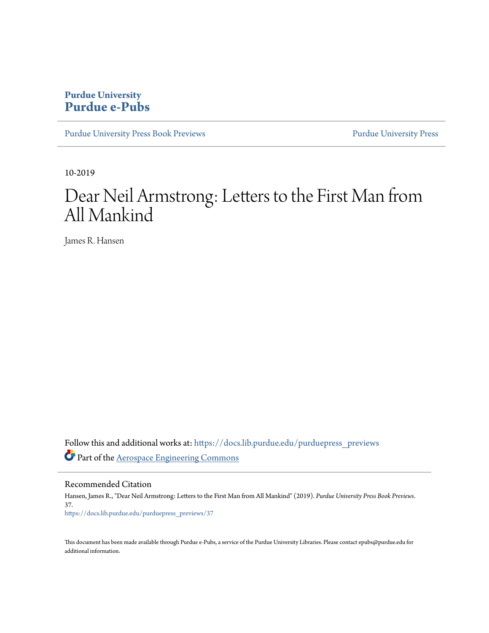### **Purdue University [Purdue e-Pubs](https://docs.lib.purdue.edu/?utm_source=docs.lib.purdue.edu%2Fpurduepress_previews%2F37&utm_medium=PDF&utm_campaign=PDFCoverPages)**

[Purdue University Press Book Previews](https://docs.lib.purdue.edu/purduepress_previews?utm_source=docs.lib.purdue.edu%2Fpurduepress_previews%2F37&utm_medium=PDF&utm_campaign=PDFCoverPages) **[Purdue University Press](https://docs.lib.purdue.edu/thepress?utm_source=docs.lib.purdue.edu%2Fpurduepress_previews%2F37&utm_medium=PDF&utm_campaign=PDFCoverPages)** 

10-2019

### Dear Neil Armstrong: Letters to the First Man from All Mankind

James R. Hansen

Follow this and additional works at: [https://docs.lib.purdue.edu/purduepress\\_previews](https://docs.lib.purdue.edu/purduepress_previews?utm_source=docs.lib.purdue.edu%2Fpurduepress_previews%2F37&utm_medium=PDF&utm_campaign=PDFCoverPages) Part of the [Aerospace Engineering Commons](http://network.bepress.com/hgg/discipline/218?utm_source=docs.lib.purdue.edu%2Fpurduepress_previews%2F37&utm_medium=PDF&utm_campaign=PDFCoverPages)

Recommended Citation

Hansen, James R., "Dear Neil Armstrong: Letters to the First Man from All Mankind" (2019). *Purdue University Press Book Previews*. 37. [https://docs.lib.purdue.edu/purduepress\\_previews/37](https://docs.lib.purdue.edu/purduepress_previews/37?utm_source=docs.lib.purdue.edu%2Fpurduepress_previews%2F37&utm_medium=PDF&utm_campaign=PDFCoverPages)

This document has been made available through Purdue e-Pubs, a service of the Purdue University Libraries. Please contact epubs@purdue.edu for additional information.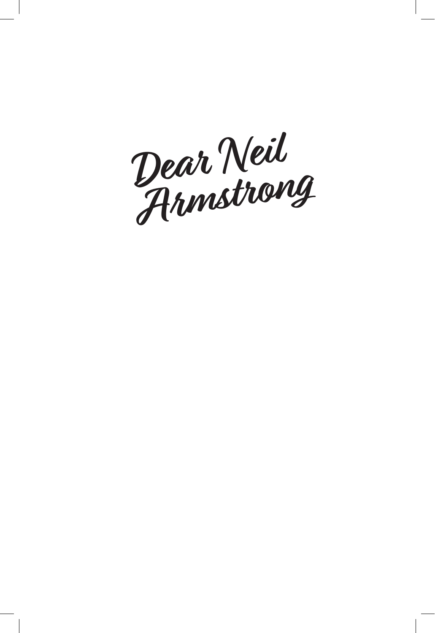**Dear Neil Armstrong**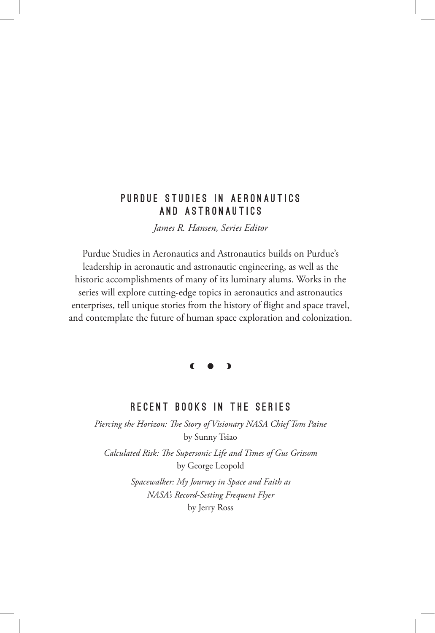### PURDUE STUDIES IN AFRONAUTICS AND ASTRONAUTICS

*James R. Hansen, Series Editor*

Purdue Studies in Aeronautics and Astronautics builds on Purdue's leadership in aeronautic and astronautic engineering, as well as the historic accomplishments of many of its luminary alums. Works in the series will explore cutting-edge topics in aeronautics and astronautics enterprises, tell unique stories from the history of flight and space travel, and contemplate the future of human space exploration and colonization.

 $\bullet$ 

#### RECENT BOOKS IN THE SERIES

*Piercing the Horizon: The Story of Visionary NASA Chief Tom Paine* by Sunny Tsiao

*Calculated Risk: The Supersonic Life and Times of Gus Grissom* by George Leopold

> *Spacewalker: My Journey in Space and Faith as NASA's Record-Setting Frequent Flyer* by Jerry Ross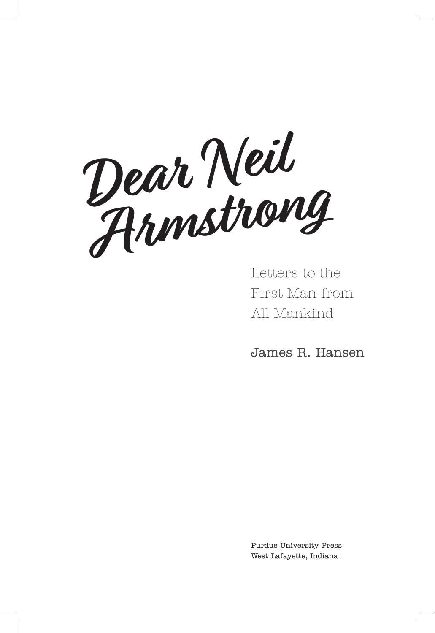

Letters to the First Man from All Mankind

James R. Hansen

Purdue University Press West Lafayette, Indiana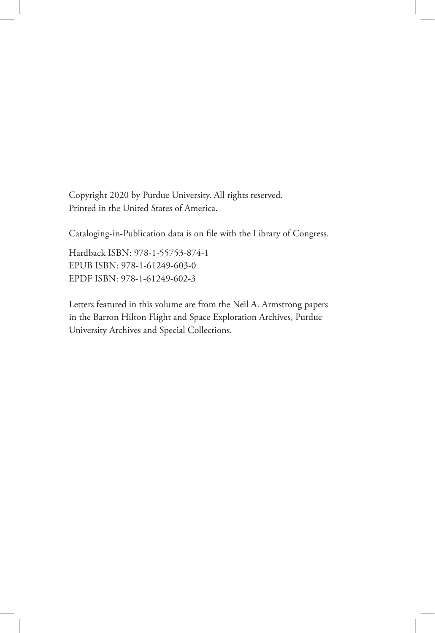Copyright 2020 by Purdue University. All rights reserved. Printed in the United States of America.

Cataloging-in-Publication data is on file with the Library of Congress.

Hardback ISBN: 978-1-55753-874-1 EPUB ISBN: 978-1-61249-603-0 EPDF ISBN: 978-1-61249-602-3

Letters featured in this volume are from the Neil A. Armstrong papers in the Barron Hilton Flight and Space Exploration Archives, Purdue University Archives and Special Collections.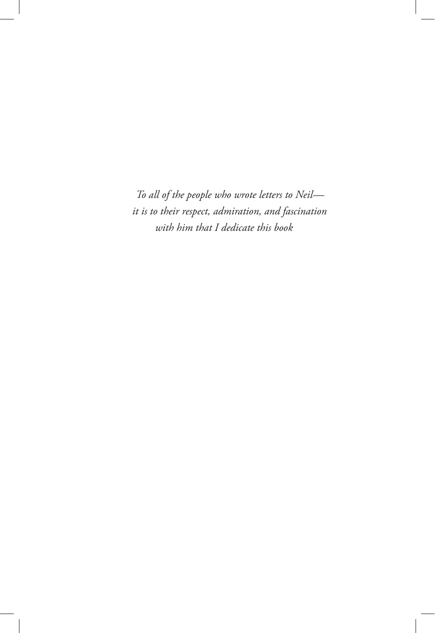*To all of the people who wrote letters to Neil it is to their respect, admiration, and fascination with him that I dedicate this book*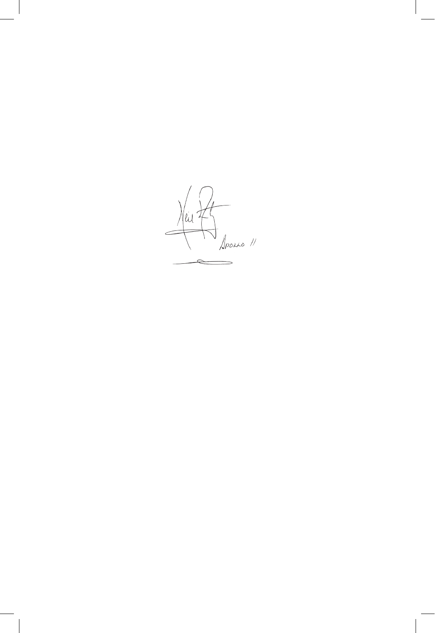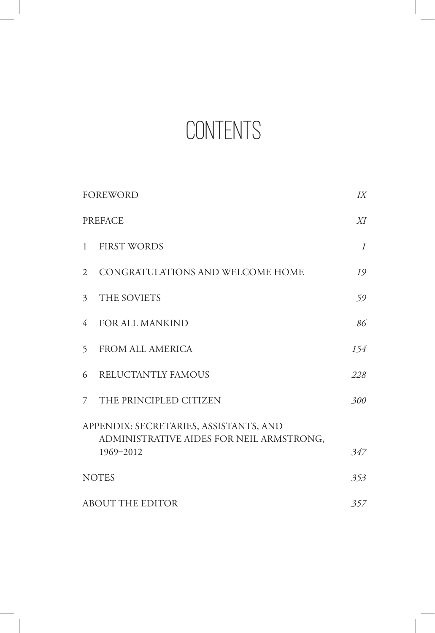# CONTENTS

| <b>FOREWORD</b>                                                                    |                                  | IX            |
|------------------------------------------------------------------------------------|----------------------------------|---------------|
| <b>PREFACE</b>                                                                     |                                  | XI            |
|                                                                                    | 1 FIRST WORDS                    | $\mathcal{I}$ |
| $\overline{2}$                                                                     | CONGRATULATIONS AND WELCOME HOME | 19            |
| 3 <sup>1</sup>                                                                     | THE SOVIETS                      | 59            |
| 4                                                                                  | <b>FOR ALL MANKIND</b>           | 86            |
| 5 <sup>7</sup>                                                                     | FROM ALL AMERICA                 | 154           |
| 6                                                                                  | RELUCTANTLY FAMOUS               | 228           |
|                                                                                    | 7 THE PRINCIPLED CITIZEN         | 300           |
| APPENDIX: SECRETARIES, ASSISTANTS, AND<br>ADMINISTRATIVE AIDES FOR NEIL ARMSTRONG, |                                  |               |
|                                                                                    | 1969-2012                        | 347           |
| <b>NOTES</b>                                                                       |                                  | 353           |
| <b>ABOUT THE EDITOR</b>                                                            |                                  | 357           |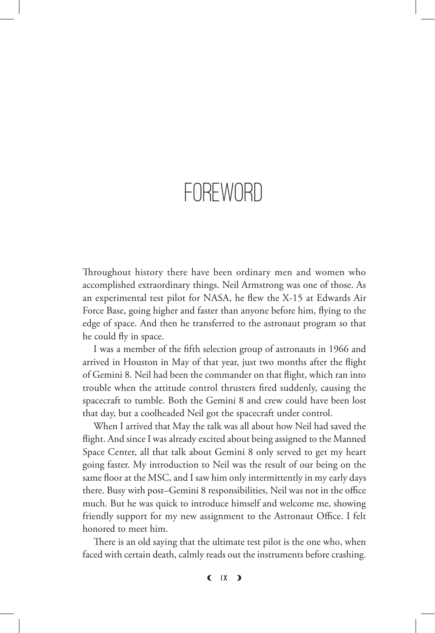# **FOREWORD**

Throughout history there have been ordinary men and women who accomplished extraordinary things. Neil Armstrong was one of those. As an experimental test pilot for NASA, he flew the X-15 at Edwards Air Force Base, going higher and faster than anyone before him, flying to the edge of space. And then he transferred to the astronaut program so that he could fly in space.

I was a member of the fifth selection group of astronauts in 1966 and arrived in Houston in May of that year, just two months after the flight of Gemini 8. Neil had been the commander on that flight, which ran into trouble when the attitude control thrusters fired suddenly, causing the spacecraft to tumble. Both the Gemini 8 and crew could have been lost that day, but a coolheaded Neil got the spacecraft under control.

When I arrived that May the talk was all about how Neil had saved the flight. And since I was already excited about being assigned to the Manned Space Center, all that talk about Gemini 8 only served to get my heart going faster. My introduction to Neil was the result of our being on the same floor at the MSC, and I saw him only intermittently in my early days there. Busy with post–Gemini 8 responsibilities, Neil was not in the office much. But he was quick to introduce himself and welcome me, showing friendly support for my new assignment to the Astronaut Office. I felt honored to meet him.

There is an old saying that the ultimate test pilot is the one who, when faced with certain death, calmly reads out the instruments before crashing.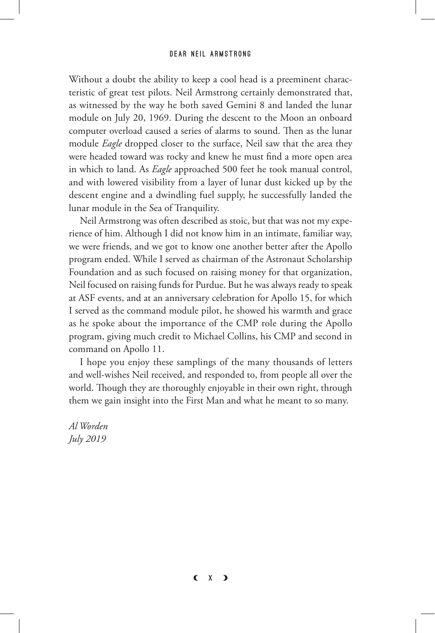Without a doubt the ability to keep a cool head is a preeminent characteristic of great test pilots. Neil Armstrong certainly demonstrated that, as witnessed by the way he both saved Gemini 8 and landed the lunar module on July 20, 1969. During the descent to the Moon an onboard computer overload caused a series of alarms to sound. Then as the lunar module *Eagle* dropped closer to the surface, Neil saw that the area they were headed toward was rocky and knew he must find a more open area in which to land. As *Eagle* approached 500 feet he took manual control, and with lowered visibility from a layer of lunar dust kicked up by the descent engine and a dwindling fuel supply, he successfully landed the lunar module in the Sea of Tranquility.

Neil Armstrong was often described as stoic, but that was not my experience of him. Although I did not know him in an intimate, familiar way, we were friends, and we got to know one another better after the Apollo program ended. While I served as chairman of the Astronaut Scholarship Foundation and as such focused on raising money for that organization, Neil focused on raising funds for Purdue. But he was always ready to speak at ASF events, and at an anniversary celebration for Apollo 15, for which I served as the command module pilot, he showed his warmth and grace as he spoke about the importance of the CMP role during the Apollo program, giving much credit to Michael Collins, his CMP and second in command on Apollo 11.

I hope you enjoy these samplings of the many thousands of letters and well-wishes Neil received, and responded to, from people all over the world. Though they are thoroughly enjoyable in their own right, through them we gain insight into the First Man and what he meant to so many.

*Al Worden July 2019*

 $\begin{pmatrix} x & y \\ y & z \end{pmatrix}$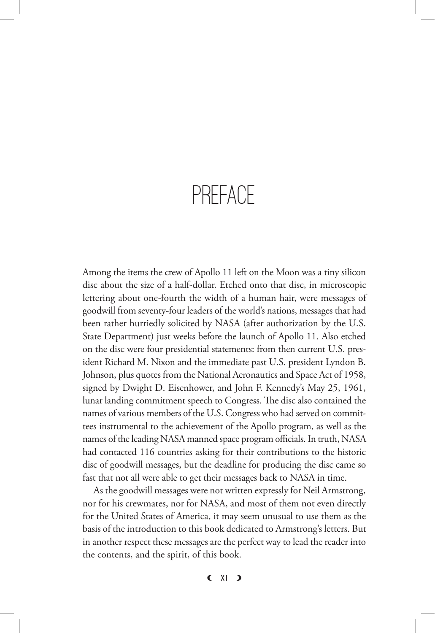# **PREFACE**

Among the items the crew of Apollo 11 left on the Moon was a tiny silicon disc about the size of a half-dollar. Etched onto that disc, in microscopic lettering about one-fourth the width of a human hair, were messages of goodwill from seventy-four leaders of the world's nations, messages that had been rather hurriedly solicited by NASA (after authorization by the U.S. State Department) just weeks before the launch of Apollo 11. Also etched on the disc were four presidential statements: from then current U.S. president Richard M. Nixon and the immediate past U.S. president Lyndon B. Johnson, plus quotes from the National Aeronautics and Space Act of 1958, signed by Dwight D. Eisenhower, and John F. Kennedy's May 25, 1961, lunar landing commitment speech to Congress. The disc also contained the names of various members of the U.S. Congress who had served on committees instrumental to the achievement of the Apollo program, as well as the names of the leading NASA manned space program officials. In truth, NASA had contacted 116 countries asking for their contributions to the historic disc of goodwill messages, but the deadline for producing the disc came so fast that not all were able to get their messages back to NASA in time.

As the goodwill messages were not written expressly for Neil Armstrong, nor for his crewmates, nor for NASA, and most of them not even directly for the United States of America, it may seem unusual to use them as the basis of the introduction to this book dedicated to Armstrong's letters. But in another respect these messages are the perfect way to lead the reader into the contents, and the spirit, of this book.

 $X \times Y$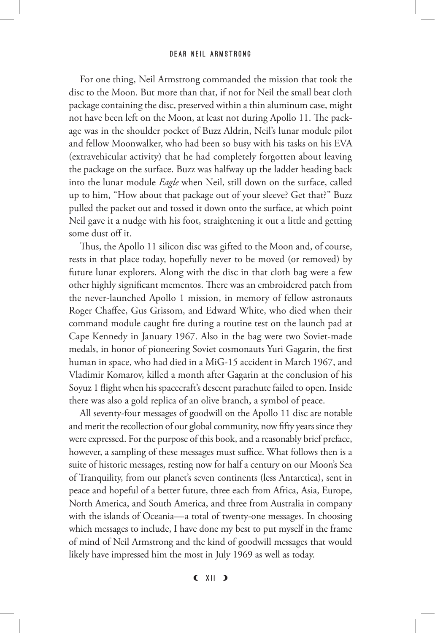For one thing, Neil Armstrong commanded the mission that took the disc to the Moon. But more than that, if not for Neil the small beat cloth package containing the disc, preserved within a thin aluminum case, might not have been left on the Moon, at least not during Apollo 11. The package was in the shoulder pocket of Buzz Aldrin, Neil's lunar module pilot and fellow Moonwalker, who had been so busy with his tasks on his EVA (extravehicular activity) that he had completely forgotten about leaving the package on the surface. Buzz was halfway up the ladder heading back into the lunar module *Eagle* when Neil, still down on the surface, called up to him, "How about that package out of your sleeve? Get that?" Buzz pulled the packet out and tossed it down onto the surface, at which point Neil gave it a nudge with his foot, straightening it out a little and getting some dust off it.

Thus, the Apollo 11 silicon disc was gifted to the Moon and, of course, rests in that place today, hopefully never to be moved (or removed) by future lunar explorers. Along with the disc in that cloth bag were a few other highly significant mementos. There was an embroidered patch from the never-launched Apollo 1 mission, in memory of fellow astronauts Roger Chaffee, Gus Grissom, and Edward White, who died when their command module caught fire during a routine test on the launch pad at Cape Kennedy in January 1967. Also in the bag were two Soviet-made medals, in honor of pioneering Soviet cosmonauts Yuri Gagarin, the first human in space, who had died in a MiG-15 accident in March 1967, and Vladimir Komarov, killed a month after Gagarin at the conclusion of his Soyuz 1 flight when his spacecraft's descent parachute failed to open. Inside there was also a gold replica of an olive branch, a symbol of peace.

All seventy-four messages of goodwill on the Apollo 11 disc are notable and merit the recollection of our global community, now fifty years since they were expressed. For the purpose of this book, and a reasonably brief preface, however, a sampling of these messages must suffice. What follows then is a suite of historic messages, resting now for half a century on our Moon's Sea of Tranquility, from our planet's seven continents (less Antarctica), sent in peace and hopeful of a better future, three each from Africa, Asia, Europe, North America, and South America, and three from Australia in company with the islands of Oceania—a total of twenty-one messages. In choosing which messages to include, I have done my best to put myself in the frame of mind of Neil Armstrong and the kind of goodwill messages that would likely have impressed him the most in July 1969 as well as today.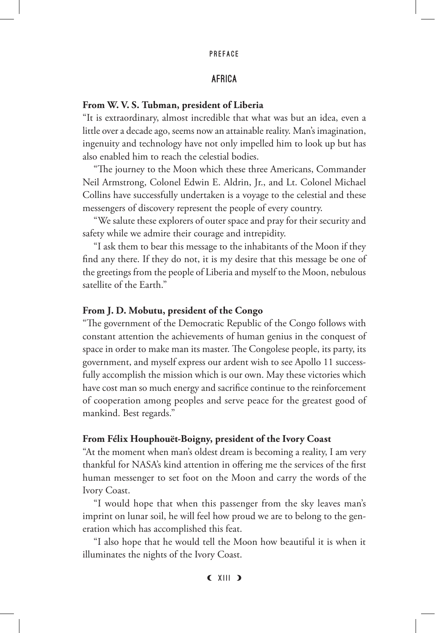#### AFRICA

#### **From W. V. S. Tubman, president of Liberia**

"It is extraordinary, almost incredible that what was but an idea, even a little over a decade ago, seems now an attainable reality. Man's imagination, ingenuity and technology have not only impelled him to look up but has also enabled him to reach the celestial bodies.

"The journey to the Moon which these three Americans, Commander Neil Armstrong, Colonel Edwin E. Aldrin, Jr., and Lt. Colonel Michael Collins have successfully undertaken is a voyage to the celestial and these messengers of discovery represent the people of every country.

"We salute these explorers of outer space and pray for their security and safety while we admire their courage and intrepidity.

"I ask them to bear this message to the inhabitants of the Moon if they find any there. If they do not, it is my desire that this message be one of the greetings from the people of Liberia and myself to the Moon, nebulous satellite of the Earth<sup>"</sup>

#### **From J. D. Mobutu, president of the Congo**

"The government of the Democratic Republic of the Congo follows with constant attention the achievements of human genius in the conquest of space in order to make man its master. The Congolese people, its party, its government, and myself express our ardent wish to see Apollo 11 successfully accomplish the mission which is our own. May these victories which have cost man so much energy and sacrifice continue to the reinforcement of cooperation among peoples and serve peace for the greatest good of mankind. Best regards."

#### **From Félix Houphouët-Boigny, president of the Ivory Coast**

"At the moment when man's oldest dream is becoming a reality, I am very thankful for NASA's kind attention in offering me the services of the first human messenger to set foot on the Moon and carry the words of the Ivory Coast.

"I would hope that when this passenger from the sky leaves man's imprint on lunar soil, he will feel how proud we are to belong to the generation which has accomplished this feat.

"I also hope that he would tell the Moon how beautiful it is when it illuminates the nights of the Ivory Coast.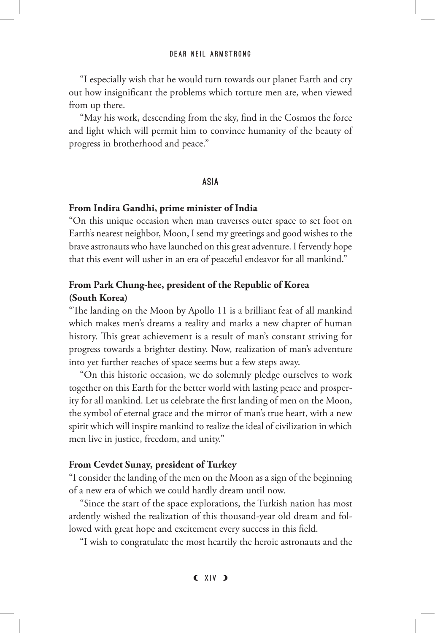#### DEAR NEIL ARMSTRONG

"I especially wish that he would turn towards our planet Earth and cry out how insignificant the problems which torture men are, when viewed from up there.

"May his work, descending from the sky, find in the Cosmos the force and light which will permit him to convince humanity of the beauty of progress in brotherhood and peace."

#### ASIA

#### **From Indira Gandhi, prime minister of India**

"On this unique occasion when man traverses outer space to set foot on Earth's nearest neighbor, Moon, I send my greetings and good wishes to the brave astronauts who have launched on this great adventure. I fervently hope that this event will usher in an era of peaceful endeavor for all mankind."

#### **From Park Chung-hee, president of the Republic of Korea (South Korea)**

"The landing on the Moon by Apollo 11 is a brilliant feat of all mankind which makes men's dreams a reality and marks a new chapter of human history. This great achievement is a result of man's constant striving for progress towards a brighter destiny. Now, realization of man's adventure into yet further reaches of space seems but a few steps away.

"On this historic occasion, we do solemnly pledge ourselves to work together on this Earth for the better world with lasting peace and prosperity for all mankind. Let us celebrate the first landing of men on the Moon, the symbol of eternal grace and the mirror of man's true heart, with a new spirit which will inspire mankind to realize the ideal of civilization in which men live in justice, freedom, and unity."

#### **From Cevdet Sunay, president of Turkey**

"I consider the landing of the men on the Moon as a sign of the beginning of a new era of which we could hardly dream until now.

"Since the start of the space explorations, the Turkish nation has most ardently wished the realization of this thousand-year old dream and followed with great hope and excitement every success in this field.

"I wish to congratulate the most heartily the heroic astronauts and the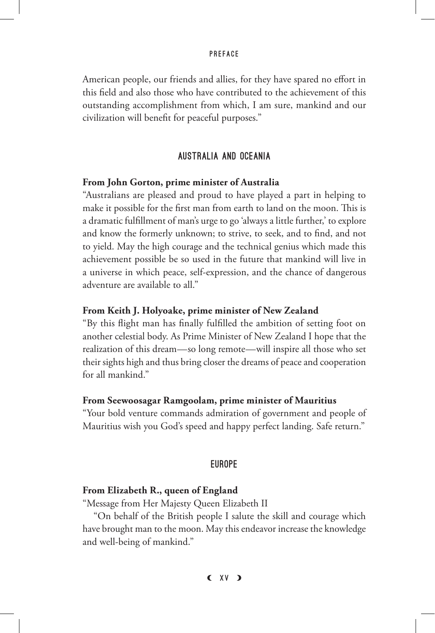#### Preface

American people, our friends and allies, for they have spared no effort in this field and also those who have contributed to the achievement of this outstanding accomplishment from which, I am sure, mankind and our civilization will benefit for peaceful purposes."

#### AUSTRALIA AND OCEANIA

#### **From John Gorton, prime minister of Australia**

"Australians are pleased and proud to have played a part in helping to make it possible for the first man from earth to land on the moon. This is a dramatic fulfillment of man's urge to go 'always a little further,' to explore and know the formerly unknown; to strive, to seek, and to find, and not to yield. May the high courage and the technical genius which made this achievement possible be so used in the future that mankind will live in a universe in which peace, self-expression, and the chance of dangerous adventure are available to all."

#### **From Keith J. Holyoake, prime minister of New Zealand**

"By this flight man has finally fulfilled the ambition of setting foot on another celestial body. As Prime Minister of New Zealand I hope that the realization of this dream—so long remote—will inspire all those who set their sights high and thus bring closer the dreams of peace and cooperation for all mankind."

#### **From Seewoosagar Ramgoolam, prime minister of Mauritius**

"Your bold venture commands admiration of government and people of Mauritius wish you God's speed and happy perfect landing. Safe return."

#### EUROPE

#### **From Elizabeth R., queen of England**

"Message from Her Majesty Queen Elizabeth II

"On behalf of the British people I salute the skill and courage which have brought man to the moon. May this endeavor increase the knowledge and well-being of mankind."

 $\sim xv$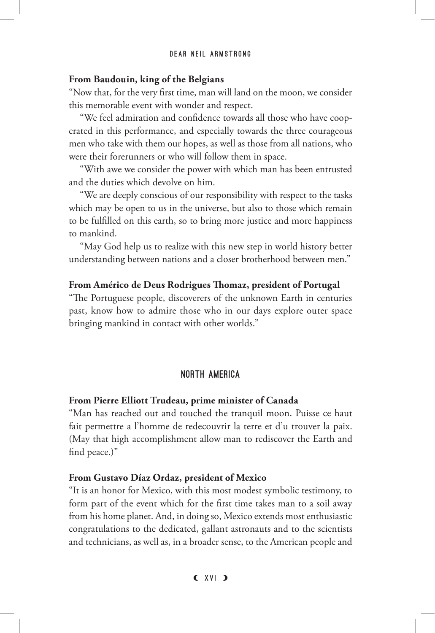#### **From Baudouin, king of the Belgians**

"Now that, for the very first time, man will land on the moon, we consider this memorable event with wonder and respect.

"We feel admiration and confidence towards all those who have cooperated in this performance, and especially towards the three courageous men who take with them our hopes, as well as those from all nations, who were their forerunners or who will follow them in space.

"With awe we consider the power with which man has been entrusted and the duties which devolve on him.

"We are deeply conscious of our responsibility with respect to the tasks which may be open to us in the universe, but also to those which remain to be fulfilled on this earth, so to bring more justice and more happiness to mankind.

"May God help us to realize with this new step in world history better understanding between nations and a closer brotherhood between men."

#### **From Américo de Deus Rodrigues Thomaz, president of Portugal**

"The Portuguese people, discoverers of the unknown Earth in centuries past, know how to admire those who in our days explore outer space bringing mankind in contact with other worlds."

#### NORTH AMERICA

#### **From Pierre Elliott Trudeau, prime minister of Canada**

"Man has reached out and touched the tranquil moon. Puisse ce haut fait permettre a l'homme de redecouvrir la terre et d'u trouver la paix. (May that high accomplishment allow man to rediscover the Earth and find peace.)"

#### **From Gustavo Díaz Ordaz, president of Mexico**

"It is an honor for Mexico, with this most modest symbolic testimony, to form part of the event which for the first time takes man to a soil away from his home planet. And, in doing so, Mexico extends most enthusiastic congratulations to the dedicated, gallant astronauts and to the scientists and technicians, as well as, in a broader sense, to the American people and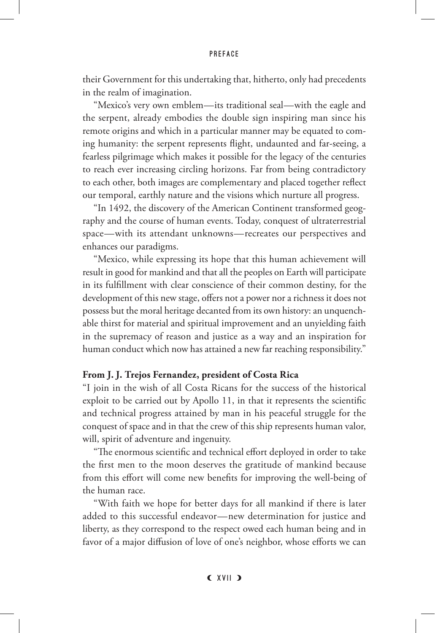their Government for this undertaking that, hitherto, only had precedents in the realm of imagination.

"Mexico's very own emblem—its traditional seal—with the eagle and the serpent, already embodies the double sign inspiring man since his remote origins and which in a particular manner may be equated to coming humanity: the serpent represents flight, undaunted and far-seeing, a fearless pilgrimage which makes it possible for the legacy of the centuries to reach ever increasing circling horizons. Far from being contradictory to each other, both images are complementary and placed together reflect our temporal, earthly nature and the visions which nurture all progress.

"In 1492, the discovery of the American Continent transformed geography and the course of human events. Today, conquest of ultraterrestrial space—with its attendant unknowns—recreates our perspectives and enhances our paradigms.

"Mexico, while expressing its hope that this human achievement will result in good for mankind and that all the peoples on Earth will participate in its fulfillment with clear conscience of their common destiny, for the development of this new stage, offers not a power nor a richness it does not possess but the moral heritage decanted from its own history: an unquenchable thirst for material and spiritual improvement and an unyielding faith in the supremacy of reason and justice as a way and an inspiration for human conduct which now has attained a new far reaching responsibility."

#### **From J. J. Trejos Fernandez, president of Costa Rica**

"I join in the wish of all Costa Ricans for the success of the historical exploit to be carried out by Apollo 11, in that it represents the scientific and technical progress attained by man in his peaceful struggle for the conquest of space and in that the crew of this ship represents human valor, will, spirit of adventure and ingenuity.

"The enormous scientific and technical effort deployed in order to take the first men to the moon deserves the gratitude of mankind because from this effort will come new benefits for improving the well-being of the human race.

"With faith we hope for better days for all mankind if there is later added to this successful endeavor—new determination for justice and liberty, as they correspond to the respect owed each human being and in favor of a major diffusion of love of one's neighbor, whose efforts we can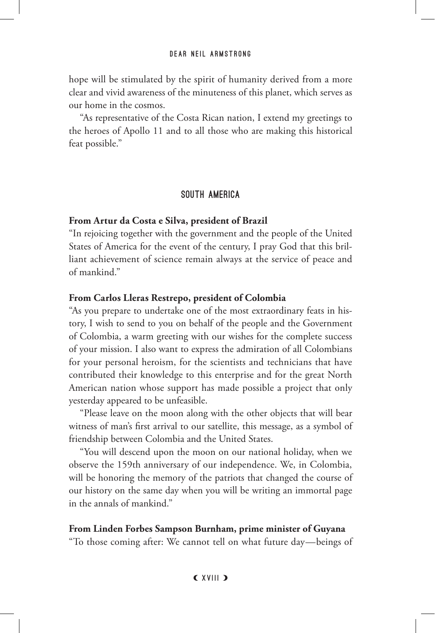hope will be stimulated by the spirit of humanity derived from a more clear and vivid awareness of the minuteness of this planet, which serves as our home in the cosmos.

"As representative of the Costa Rican nation, I extend my greetings to the heroes of Apollo 11 and to all those who are making this historical feat possible."

#### SOUTH AMERICA

#### **From Artur da Costa e Silva, president of Brazil**

"In rejoicing together with the government and the people of the United States of America for the event of the century, I pray God that this brilliant achievement of science remain always at the service of peace and of mankind."

#### **From Carlos Lleras Restrepo, president of Colombia**

"As you prepare to undertake one of the most extraordinary feats in history, I wish to send to you on behalf of the people and the Government of Colombia, a warm greeting with our wishes for the complete success of your mission. I also want to express the admiration of all Colombians for your personal heroism, for the scientists and technicians that have contributed their knowledge to this enterprise and for the great North American nation whose support has made possible a project that only yesterday appeared to be unfeasible.

"Please leave on the moon along with the other objects that will bear witness of man's first arrival to our satellite, this message, as a symbol of friendship between Colombia and the United States.

"You will descend upon the moon on our national holiday, when we observe the 159th anniversary of our independence. We, in Colombia, will be honoring the memory of the patriots that changed the course of our history on the same day when you will be writing an immortal page in the annals of mankind."

#### **From Linden Forbes Sampson Burnham, prime minister of Guyana**

"To those coming after: We cannot tell on what future day—beings of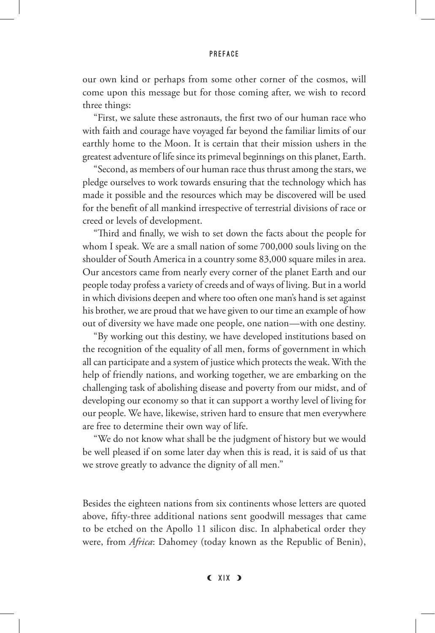#### Preface

our own kind or perhaps from some other corner of the cosmos, will come upon this message but for those coming after, we wish to record three things:

"First, we salute these astronauts, the first two of our human race who with faith and courage have voyaged far beyond the familiar limits of our earthly home to the Moon. It is certain that their mission ushers in the greatest adventure of life since its primeval beginnings on this planet, Earth.

"Second, as members of our human race thus thrust among the stars, we pledge ourselves to work towards ensuring that the technology which has made it possible and the resources which may be discovered will be used for the benefit of all mankind irrespective of terrestrial divisions of race or creed or levels of development.

"Third and finally, we wish to set down the facts about the people for whom I speak. We are a small nation of some 700,000 souls living on the shoulder of South America in a country some 83,000 square miles in area. Our ancestors came from nearly every corner of the planet Earth and our people today profess a variety of creeds and of ways of living. But in a world in which divisions deepen and where too often one man's hand is set against his brother, we are proud that we have given to our time an example of how out of diversity we have made one people, one nation—with one destiny.

"By working out this destiny, we have developed institutions based on the recognition of the equality of all men, forms of government in which all can participate and a system of justice which protects the weak. With the help of friendly nations, and working together, we are embarking on the challenging task of abolishing disease and poverty from our midst, and of developing our economy so that it can support a worthy level of living for our people. We have, likewise, striven hard to ensure that men everywhere are free to determine their own way of life.

"We do not know what shall be the judgment of history but we would be well pleased if on some later day when this is read, it is said of us that we strove greatly to advance the dignity of all men."

Besides the eighteen nations from six continents whose letters are quoted above, fifty-three additional nations sent goodwill messages that came to be etched on the Apollo 11 silicon disc. In alphabetical order they were, from *Africa*: Dahomey (today known as the Republic of Benin),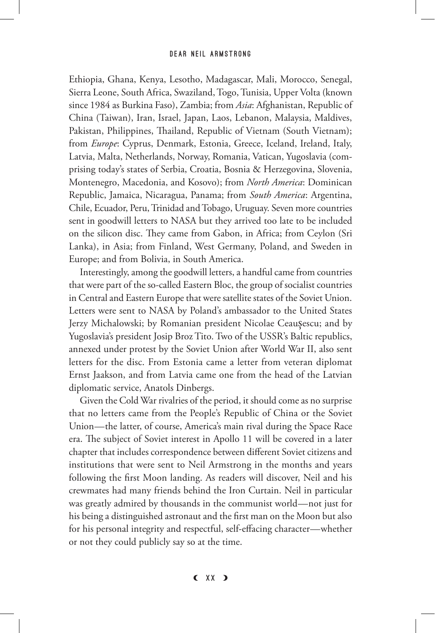Ethiopia, Ghana, Kenya, Lesotho, Madagascar, Mali, Morocco, Senegal, Sierra Leone, South Africa, Swaziland, Togo, Tunisia, Upper Volta (known since 1984 as Burkina Faso), Zambia; from *Asia*: Afghanistan, Republic of China (Taiwan), Iran, Israel, Japan, Laos, Lebanon, Malaysia, Maldives, Pakistan, Philippines, Thailand, Republic of Vietnam (South Vietnam); from *Europe*: Cyprus, Denmark, Estonia, Greece, Iceland, Ireland, Italy, Latvia, Malta, Netherlands, Norway, Romania, Vatican, Yugoslavia (comprising today's states of Serbia, Croatia, Bosnia & Herzegovina, Slovenia, Montenegro, Macedonia, and Kosovo); from *North America*: Dominican Republic, Jamaica, Nicaragua, Panama; from *South America*: Argentina, Chile, Ecuador, Peru, Trinidad and Tobago, Uruguay. Seven more countries sent in goodwill letters to NASA but they arrived too late to be included on the silicon disc. They came from Gabon, in Africa; from Ceylon (Sri Lanka), in Asia; from Finland, West Germany, Poland, and Sweden in Europe; and from Bolivia, in South America.

Interestingly, among the goodwill letters, a handful came from countries that were part of the so-called Eastern Bloc, the group of socialist countries in Central and Eastern Europe that were satellite states of the Soviet Union. Letters were sent to NASA by Poland's ambassador to the United States Jerzy Michalowski; by Romanian president Nicolae Ceaușescu; and by Yugoslavia's president Josip Broz Tito. Two of the USSR's Baltic republics, annexed under protest by the Soviet Union after World War II, also sent letters for the disc. From Estonia came a letter from veteran diplomat Ernst Jaakson, and from Latvia came one from the head of the Latvian diplomatic service, Anatols Dinbergs.

Given the Cold War rivalries of the period, it should come as no surprise that no letters came from the People's Republic of China or the Soviet Union—the latter, of course, America's main rival during the Space Race era. The subject of Soviet interest in Apollo 11 will be covered in a later chapter that includes correspondence between different Soviet citizens and institutions that were sent to Neil Armstrong in the months and years following the first Moon landing. As readers will discover, Neil and his crewmates had many friends behind the Iron Curtain. Neil in particular was greatly admired by thousands in the communist world—not just for his being a distinguished astronaut and the first man on the Moon but also for his personal integrity and respectful, self-effacing character—whether or not they could publicly say so at the time.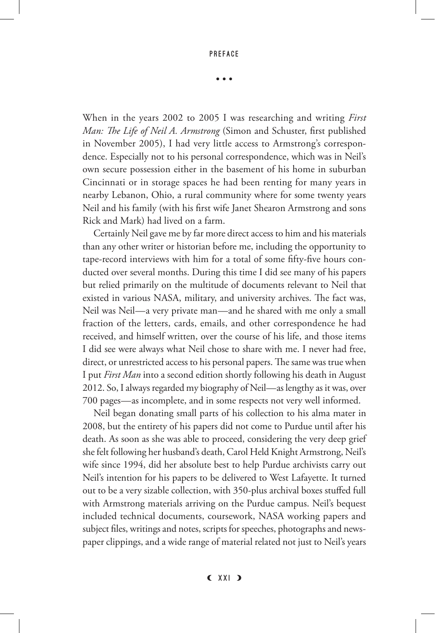• • •

When in the years 2002 to 2005 I was researching and writing *First Man: The Life of Neil A. Armstrong* (Simon and Schuster, first published in November 2005), I had very little access to Armstrong's correspondence. Especially not to his personal correspondence, which was in Neil's own secure possession either in the basement of his home in suburban Cincinnati or in storage spaces he had been renting for many years in nearby Lebanon, Ohio, a rural community where for some twenty years Neil and his family (with his first wife Janet Shearon Armstrong and sons Rick and Mark) had lived on a farm.

Certainly Neil gave me by far more direct access to him and his materials than any other writer or historian before me, including the opportunity to tape-record interviews with him for a total of some fifty-five hours conducted over several months. During this time I did see many of his papers but relied primarily on the multitude of documents relevant to Neil that existed in various NASA, military, and university archives. The fact was, Neil was Neil—a very private man—and he shared with me only a small fraction of the letters, cards, emails, and other correspondence he had received, and himself written, over the course of his life, and those items I did see were always what Neil chose to share with me. I never had free, direct, or unrestricted access to his personal papers. The same was true when I put *First Man* into a second edition shortly following his death in August 2012. So, I always regarded my biography of Neil—as lengthy as it was, over 700 pages—as incomplete, and in some respects not very well informed.

Neil began donating small parts of his collection to his alma mater in 2008, but the entirety of his papers did not come to Purdue until after his death. As soon as she was able to proceed, considering the very deep grief she felt following her husband's death, Carol Held Knight Armstrong, Neil's wife since 1994, did her absolute best to help Purdue archivists carry out Neil's intention for his papers to be delivered to West Lafayette. It turned out to be a very sizable collection, with 350-plus archival boxes stuffed full with Armstrong materials arriving on the Purdue campus. Neil's bequest included technical documents, coursework, NASA working papers and subject files, writings and notes, scripts for speeches, photographs and newspaper clippings, and a wide range of material related not just to Neil's years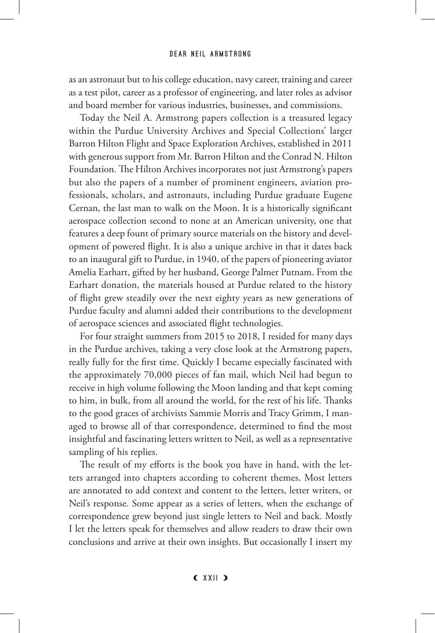as an astronaut but to his college education, navy career, training and career as a test pilot, career as a professor of engineering, and later roles as advisor and board member for various industries, businesses, and commissions.

Today the Neil A. Armstrong papers collection is a treasured legacy within the Purdue University Archives and Special Collections' larger Barron Hilton Flight and Space Exploration Archives, established in 2011 with generous support from Mr. Barron Hilton and the Conrad N. Hilton Foundation. The Hilton Archives incorporates not just Armstrong's papers but also the papers of a number of prominent engineers, aviation professionals, scholars, and astronauts, including Purdue graduate Eugene Cernan, the last man to walk on the Moon. It is a historically significant aerospace collection second to none at an American university, one that features a deep fount of primary source materials on the history and development of powered flight. It is also a unique archive in that it dates back to an inaugural gift to Purdue, in 1940, of the papers of pioneering aviator Amelia Earhart, gifted by her husband, George Palmer Putnam. From the Earhart donation, the materials housed at Purdue related to the history of flight grew steadily over the next eighty years as new generations of Purdue faculty and alumni added their contributions to the development of aerospace sciences and associated flight technologies.

For four straight summers from 2015 to 2018, I resided for many days in the Purdue archives, taking a very close look at the Armstrong papers, really fully for the first time. Quickly I became especially fascinated with the approximately 70,000 pieces of fan mail, which Neil had begun to receive in high volume following the Moon landing and that kept coming to him, in bulk, from all around the world, for the rest of his life. Thanks to the good graces of archivists Sammie Morris and Tracy Grimm, I managed to browse all of that correspondence, determined to find the most insightful and fascinating letters written to Neil, as well as a representative sampling of his replies.

The result of my efforts is the book you have in hand, with the letters arranged into chapters according to coherent themes. Most letters are annotated to add context and content to the letters, letter writers, or Neil's response. Some appear as a series of letters, when the exchange of correspondence grew beyond just single letters to Neil and back. Mostly I let the letters speak for themselves and allow readers to draw their own conclusions and arrive at their own insights. But occasionally I insert my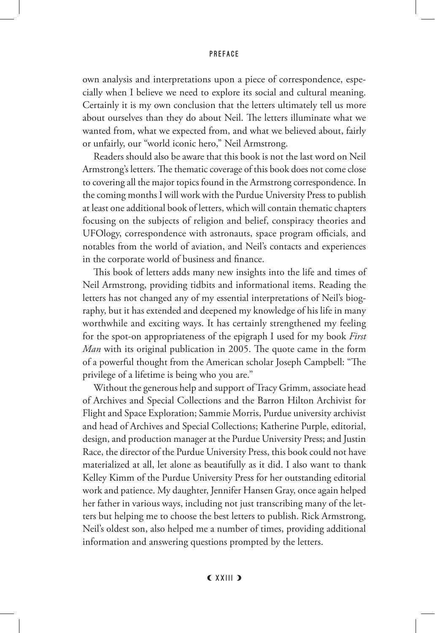#### Preface

own analysis and interpretations upon a piece of correspondence, especially when I believe we need to explore its social and cultural meaning. Certainly it is my own conclusion that the letters ultimately tell us more about ourselves than they do about Neil. The letters illuminate what we wanted from, what we expected from, and what we believed about, fairly or unfairly, our "world iconic hero," Neil Armstrong.

Readers should also be aware that this book is not the last word on Neil Armstrong's letters. The thematic coverage of this book does not come close to covering all the major topics found in the Armstrong correspondence. In the coming months I will work with the Purdue University Press to publish at least one additional book of letters, which will contain thematic chapters focusing on the subjects of religion and belief, conspiracy theories and UFOlogy, correspondence with astronauts, space program officials, and notables from the world of aviation, and Neil's contacts and experiences in the corporate world of business and finance.

This book of letters adds many new insights into the life and times of Neil Armstrong, providing tidbits and informational items. Reading the letters has not changed any of my essential interpretations of Neil's biography, but it has extended and deepened my knowledge of his life in many worthwhile and exciting ways. It has certainly strengthened my feeling for the spot-on appropriateness of the epigraph I used for my book *First Man* with its original publication in 2005. The quote came in the form of a powerful thought from the American scholar Joseph Campbell: "The privilege of a lifetime is being who you are."

Without the generous help and support of Tracy Grimm, associate head of Archives and Special Collections and the Barron Hilton Archivist for Flight and Space Exploration; Sammie Morris, Purdue university archivist and head of Archives and Special Collections; Katherine Purple, editorial, design, and production manager at the Purdue University Press; and Justin Race, the director of the Purdue University Press, this book could not have materialized at all, let alone as beautifully as it did. I also want to thank Kelley Kimm of the Purdue University Press for her outstanding editorial work and patience. My daughter, Jennifer Hansen Gray, once again helped her father in various ways, including not just transcribing many of the letters but helping me to choose the best letters to publish. Rick Armstrong, Neil's oldest son, also helped me a number of times, providing additional information and answering questions prompted by the letters.